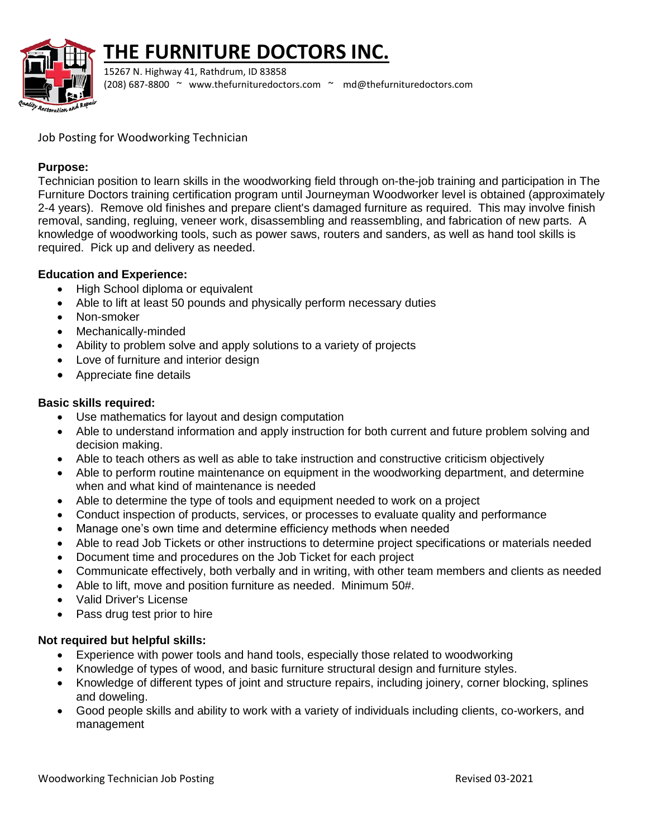

# **THE FURNITURE DOCTORS INC.**

15267 N. Highway 41, Rathdrum, ID 83858 (208) 687-8800 ~ [www.thefurnituredoctors.com](http://www.thefurnituredoctors.com/) ~ [md@thefurnituredoctors.com](mailto:md@thefurnituredoctors.com)

Job Posting for Woodworking Technician

## **Purpose:**

Technician position to learn skills in the woodworking field through on-the-job training and participation in The Furniture Doctors training certification program until Journeyman Woodworker level is obtained (approximately 2-4 years). Remove old finishes and prepare client's damaged furniture as required. This may involve finish removal, sanding, regluing, veneer work, disassembling and reassembling, and fabrication of new parts. A knowledge of woodworking tools, such as power saws, routers and sanders, as well as hand tool skills is required. Pick up and delivery as needed.

# **Education and Experience:**

- High School diploma or equivalent
- Able to lift at least 50 pounds and physically perform necessary duties
- Non-smoker
- Mechanically-minded
- Ability to problem solve and apply solutions to a variety of projects
- Love of furniture and interior design
- Appreciate fine details

## **Basic skills required:**

- Use mathematics for layout and design computation
- Able to understand information and apply instruction for both current and future problem solving and decision making.
- Able to teach others as well as able to take instruction and constructive criticism objectively
- Able to perform routine maintenance on equipment in the woodworking department, and determine when and what kind of maintenance is needed
- Able to determine the type of tools and equipment needed to work on a project
- Conduct inspection of products, services, or processes to evaluate quality and performance
- Manage one's own time and determine efficiency methods when needed
- Able to read Job Tickets or other instructions to determine project specifications or materials needed
- Document time and procedures on the Job Ticket for each project
- Communicate effectively, both verbally and in writing, with other team members and clients as needed
- Able to lift, move and position furniture as needed. Minimum 50#.
- Valid Driver's License
- Pass drug test prior to hire

## **Not required but helpful skills:**

- Experience with power tools and hand tools, especially those related to woodworking
- Knowledge of types of wood, and basic furniture structural design and furniture styles.
- Knowledge of different types of joint and structure repairs, including joinery, corner blocking, splines and doweling.
- Good people skills and ability to work with a variety of individuals including clients, co-workers, and management